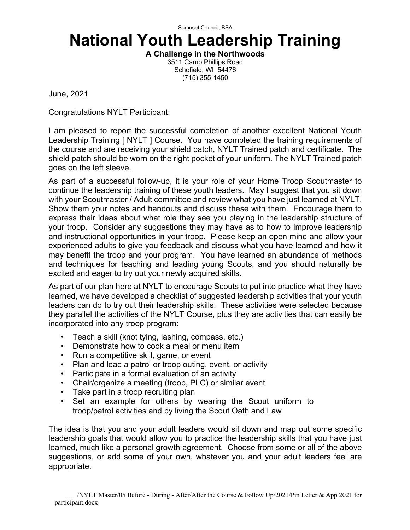Samoset Council, BSA

# **National Youth Leadership Training**

**A Challenge in the Northwoods** 3511 Camp Phillips Road

Schofield, WI 54476 (715) 355-1450

June, 2021

Congratulations NYLT Participant:

I am pleased to report the successful completion of another excellent National Youth Leadership Training [ NYLT ] Course. You have completed the training requirements of the course and are receiving your shield patch, NYLT Trained patch and certificate. The shield patch should be worn on the right pocket of your uniform. The NYLT Trained patch goes on the left sleeve.

As part of a successful follow-up, it is your role of your Home Troop Scoutmaster to continue the leadership training of these youth leaders. May I suggest that you sit down with your Scoutmaster / Adult committee and review what you have just learned at NYLT. Show them your notes and handouts and discuss these with them. Encourage them to express their ideas about what role they see you playing in the leadership structure of your troop. Consider any suggestions they may have as to how to improve leadership and instructional opportunities in your troop. Please keep an open mind and allow your experienced adults to give you feedback and discuss what you have learned and how it may benefit the troop and your program. You have learned an abundance of methods and techniques for teaching and leading young Scouts, and you should naturally be excited and eager to try out your newly acquired skills.

As part of our plan here at NYLT to encourage Scouts to put into practice what they have learned, we have developed a checklist of suggested leadership activities that your youth leaders can do to try out their leadership skills. These activities were selected because they parallel the activities of the NYLT Course, plus they are activities that can easily be incorporated into any troop program:

- Teach a skill (knot tying, lashing, compass, etc.)
- Demonstrate how to cook a meal or menu item
- Run a competitive skill, game, or event
- Plan and lead a patrol or troop outing, event, or activity
- Participate in a formal evaluation of an activity
- Chair/organize a meeting (troop, PLC) or similar event
- Take part in a troop recruiting plan
- Set an example for others by wearing the Scout uniform to troop/patrol activities and by living the Scout Oath and Law

The idea is that you and your adult leaders would sit down and map out some specific leadership goals that would allow you to practice the leadership skills that you have just learned, much like a personal growth agreement. Choose from some or all of the above suggestions, or add some of your own, whatever you and your adult leaders feel are appropriate.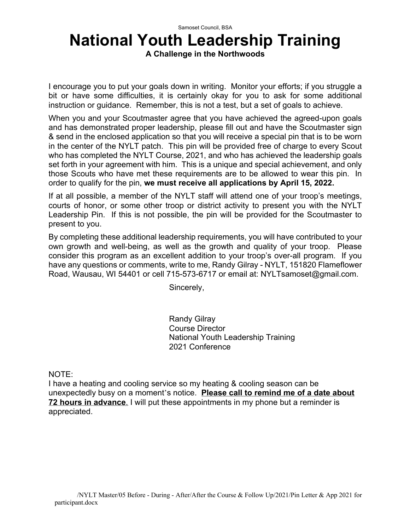#### Samoset Council, BSA

### **National Youth Leadership Training**

**A Challenge in the Northwoods**

I encourage you to put your goals down in writing. Monitor your efforts; if you struggle a bit or have some difficulties, it is certainly okay for you to ask for some additional instruction or guidance. Remember, this is not a test, but a set of goals to achieve.

When you and your Scoutmaster agree that you have achieved the agreed-upon goals and has demonstrated proper leadership, please fill out and have the Scoutmaster sign & send in the enclosed application so that you will receive a special pin that is to be worn in the center of the NYLT patch. This pin will be provided free of charge to every Scout who has completed the NYLT Course, 2021, and who has achieved the leadership goals set forth in your agreement with him. This is a unique and special achievement, and only those Scouts who have met these requirements are to be allowed to wear this pin. In order to qualify for the pin, **we must receive all applications by April 15, 2022.**

If at all possible, a member of the NYLT staff will attend one of your troop's meetings, courts of honor, or some other troop or district activity to present you with the NYLT Leadership Pin. If this is not possible, the pin will be provided for the Scoutmaster to present to you.

By completing these additional leadership requirements, you will have contributed to your own growth and well-being, as well as the growth and quality of your troop. Please consider this program as an excellent addition to your troop's over-all program. If you have any questions or comments, write to me, Randy Gilray - NYLT, 151820 Flameflower Road, Wausau, WI 54401 or cell 715-573-6717 or email at: NYLTsamoset@gmail.com.

Sincerely,

Randy Gilray Course Director National Youth Leadership Training 2021 Conference

NOTE:

I have a heating and cooling service so my heating & cooling season can be unexpectedly busy on a moment's notice. **Please call to remind me of a date about 72 hours in advance**. I will put these appointments in my phone but a reminder is appreciated.